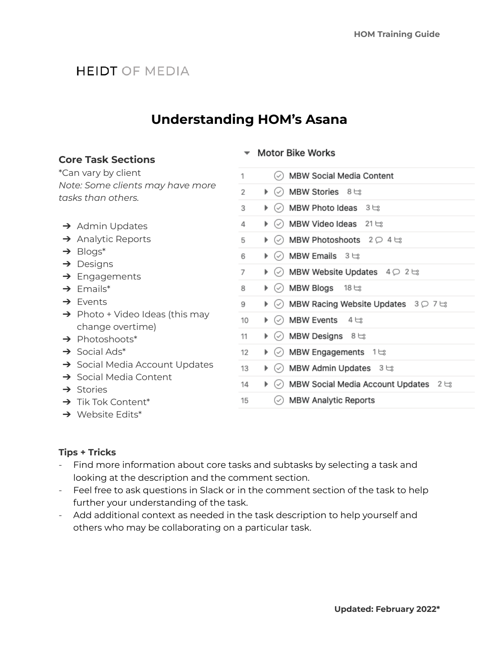# **HEIDT OF MEDIA**

# **Understanding HOM's Asana**

### **Core Task Sections**

\*Can vary by client *Note: Some clients may have more tasks than others.*

- **→** Admin Updates
- **→** Analytic Reports
- $\rightarrow$  Blogs\*
- ➔ Designs
- → Engagements
- $\rightarrow$  Emails\*
- ➔ Events
- $\rightarrow$  Photo + Video Ideas (this may change overtime)
- → Photoshoots\*
- $\rightarrow$  Social Ads\*
- → Social Media Account Updates
- → Social Media Content
- **→** Stories
- $\rightarrow$  Tik Tok Content\*
- → Website Edits\*

### ▼ Motor Bike Works

| 1                                                                    | ◯ MBW Social Media Content               |
|----------------------------------------------------------------------|------------------------------------------|
| ▶ (√) MBW Stories 8 ts<br>2                                          |                                          |
| $\circ$ MBW Photo Ideas 3 $\approx$<br>3<br>Þ.                       |                                          |
| $\blacktriangleright$ $\oslash$ MBW Video Ideas 21 $\bowtie$<br>4    |                                          |
| 5<br>Þ.                                                              | (✓) MBW Photoshoots $2$ ◯ 4 $\text{E}$   |
| ▶ ⊘ MBW Emails 3 ੳ<br>6                                              |                                          |
| 7                                                                    | ▶ ⊙ MBW Website Updates 4 ₽ 2 ੮ਃ         |
| ) स्थान Blogs । अधिक<br>8                                            |                                          |
| 9                                                                    | ▶ ⊙ MBW Racing Website Updates 3 Q 7 ts  |
| ▶ ⊘े MBW Events 4 ≒ः<br>10                                           |                                          |
| ) ≫ MBW Designs ৪ ੳঃ<br>11                                           |                                          |
| $\blacktriangleright$ $\heartsuit$ MBW Engagements 1 $\approx$<br>12 |                                          |
| 13                                                                   | ▶ ⊙ MBW Admin Updates 3 ts               |
| 14                                                                   | ▶ ⊘ MBW Social Media Account Updates 2 ঞ |
| $\oslash$ MBW Analytic Reports<br>15                                 |                                          |

# **Tips + Tricks**

- Find more information about core tasks and subtasks by selecting a task and looking at the description and the comment section.
- Feel free to ask questions in Slack or in the comment section of the task to help further your understanding of the task.
- Add additional context as needed in the task description to help yourself and others who may be collaborating on a particular task.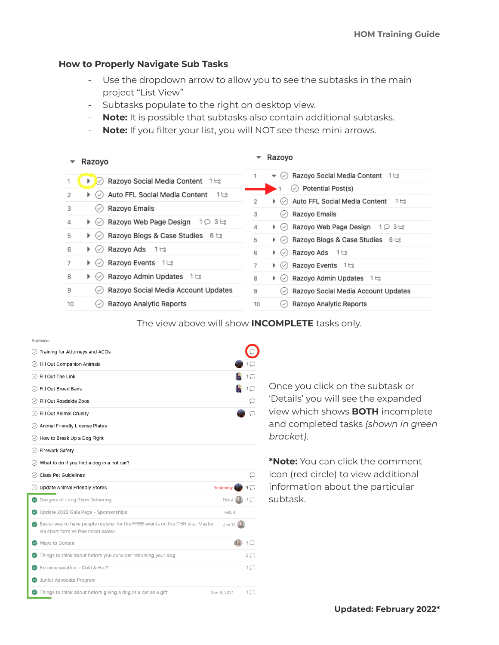#### **How to Properly Navigate Sub Tasks**

- Use the dropdown arrow to allow you to see the subtasks in the main project "List View"
- Subtasks populate to the right on desktop view.
- **Note:** It is possible that subtasks also contain additional subtasks.
- **Note:** If you filter your list, you will NOT see these mini arrows.

| Razoyo                                                               | Razoyo                                                                  |  |
|----------------------------------------------------------------------|-------------------------------------------------------------------------|--|
| Razoyo Social Media Content 1                                        | Razoyo Social Media Content 1                                           |  |
| 1                                                                    | $\overline{\mathcal{C}}$                                                |  |
| ▶ ∥ ✓                                                                | ▼                                                                       |  |
| Auto FFL Social Media Content 1 ts<br>2<br>▶ (✓)                     | Potential Post(s)<br>$(\checkmark)$                                     |  |
| Razoyo Emails                                                        | Auto FFL Social Media Content 1 ts                                      |  |
| 3                                                                    | 2                                                                       |  |
| $\checkmark$                                                         | $\blacktriangleright$ ( $\vee$ )                                        |  |
| Razoyo Web Page Design<br>4<br>10<br>3E<br>$\blacktriangleright$ (v) | Razoyo Emails<br>3<br>$(\checkmark)$                                    |  |
|                                                                      | Razoyo Web Page Design<br>1035<br>4<br>$\blacktriangleright$ ( $\vee$ ) |  |
| Razoyo Blogs & Case Studies $6 \approx$                              | Razoyo Blogs & Case Studies 6 ts                                        |  |
| 5                                                                    | 5                                                                       |  |
| $\blacktriangleright$ (v)                                            | $\blacktriangleright$ ( $\vee$ )                                        |  |
| Razoyo Ads 1 ts                                                      | Razoyo Ads 1 ts                                                         |  |
| 6                                                                    | 6                                                                       |  |
| ৻৵                                                                   | $\blacktriangleright$ (v)                                               |  |
| Razoyo Events 1                                                      | Razoyo Events 1                                                         |  |
| 7                                                                    | 7                                                                       |  |
| (✓                                                                   | $\blacktriangleright$ (v)                                               |  |
| Razoyo Admin Updates 1                                               | Razoyo Admin Updates 1                                                  |  |
| 8                                                                    | 8                                                                       |  |
| $\blacktriangleright$ ( $\checkmark$                                 | $\blacktriangleright$ (v)                                               |  |
| Razoyo Social Media Account Updates                                  | Razoyo Social Media Account Updates                                     |  |
| 9                                                                    | 9                                                                       |  |
| $(\checkmark)$                                                       | $(\checkmark)$                                                          |  |
| Razoyo Analytic Reports                                              | Razovo Analytic Reports                                                 |  |
| 10                                                                   | 10                                                                      |  |
| $\checkmark$                                                         | (✓                                                                      |  |

The view above will show **INCOMPLETE** tasks only.

| Subtasks                                                                                                              |             |                |
|-----------------------------------------------------------------------------------------------------------------------|-------------|----------------|
| Training for Attorneys and ACOs                                                                                       |             |                |
| Fill Out Companion Animals                                                                                            |             |                |
| Fill Out The Link                                                                                                     |             |                |
| Fill Out Breed Bans                                                                                                   |             |                |
| Fill Out Roadside Zoos<br>$(\mathcal{S})$                                                                             |             |                |
| Fill Out Animal Cruelty                                                                                               |             |                |
| Animal Friendly License Plates                                                                                        |             |                |
| ◯ How to Break Up a Dog Fight                                                                                         |             |                |
| <b>Firework Safety</b><br>$(\mathcal{S})$                                                                             |             |                |
| $\oslash$ What to do if you find a dog in a hot car?                                                                  |             |                |
| <b>Class Pet Guidelines</b>                                                                                           |             |                |
| O Update Animal Friendly Stores                                                                                       | Yesterday   |                |
| Dangers of Long-Term Tethering                                                                                        | Feb 4       | 1 (            |
| Update 2022 Gala Page - Sponsorships                                                                                  | Feb 4       |                |
| Easier way to have people register for the FREE events on the THN site. Maybe<br>via short form ys free ticket sales? | Jan 12      |                |
| Ways to Donate                                                                                                        |             | 3 <sup>1</sup> |
| Things to think about before you consider rehoming your dog                                                           |             | 2 (            |
| Extreme weather - Cold & Hot?                                                                                         |             | 1 ( )          |
| Junior Advocate Program                                                                                               |             |                |
| Things to think about before giving a dog or a cat as a gift                                                          | Nov 9, 2021 | 1 (_)          |

Once you click on the subtask or 'Details' you will see the expanded view which shows **BOTH** incomplete and completed tasks *(shown in green bracket)*.

**\*Note:** You can click the comment icon (red circle) to view additional information about the particular subtask.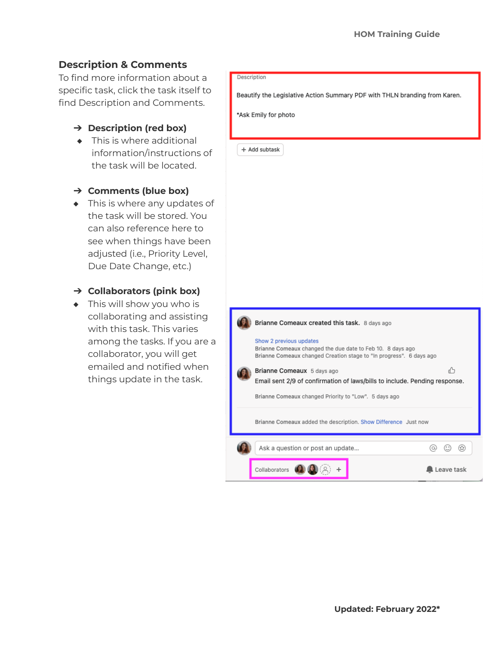# **Description & Comments**

To find more information about a specific task, click the task itself to find Description and Comments.

- ➔ **Description (red box)**
- ◆ This is where additional information/instructions of the task will be located.
- ➔ **Comments (blue box)**
- ◆ This is where any updates of the task will be stored. You can also reference here to see when things have been adjusted (i.e., Priority Level, Due Date Change, etc.)

### ➔ **Collaborators (pink box)**

◆ This will show you who is collaborating and assisting with this task. This varies among the tasks. If you are a collaborator, you will get emailed and notified when things update in the task.

#### Description

Beautify the Legislative Action Summary PDF with THLN branding from Karen.

\*Ask Emily for photo

+ Add subtask

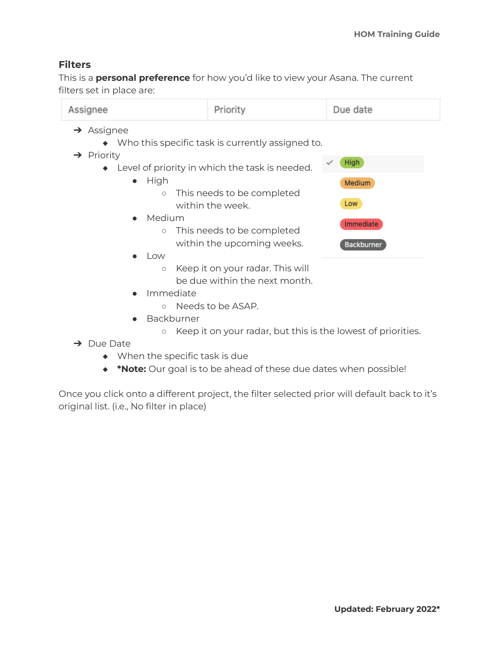### **Filters**

This is a **personal preference** for how you'd like to view your Asana. The current filters set in place are:

| Assignee                                                                                             | Priority                                                          | Due date   |  |  |
|------------------------------------------------------------------------------------------------------|-------------------------------------------------------------------|------------|--|--|
| $\rightarrow$ Assignee<br>Who this specific task is currently assigned to.<br>$\rightarrow$ Priority |                                                                   |            |  |  |
| High<br>Level of priority in which the task is needed.                                               |                                                                   |            |  |  |
| High<br>$\bullet$                                                                                    |                                                                   | Medium     |  |  |
| $\circ$                                                                                              | This needs to be completed<br>within the week.                    | Low        |  |  |
| Medium<br>$\bullet$<br>$\circ$                                                                       | This needs to be completed                                        | Immediate  |  |  |
|                                                                                                      | within the upcoming weeks.                                        | Backburner |  |  |
| Low<br>$\bullet$                                                                                     |                                                                   |            |  |  |
| $\circlearrowright$                                                                                  | Keep it on your radar. This will<br>be due within the next month. |            |  |  |
| Immediate<br>$\bullet$<br>$\circ$                                                                    | Needs to be ASAP.                                                 |            |  |  |
| Backburner                                                                                           |                                                                   |            |  |  |

- Keep it on your radar, but this is the lowest of priorities.
- ➔ Due Date
	- ◆ When the specific task is due
	- ◆ **\*Note:** Our goal is to be ahead of these due dates when possible!

Once you click onto a different project, the filter selected prior will default back to it's original list. (i.e., No filter in place)